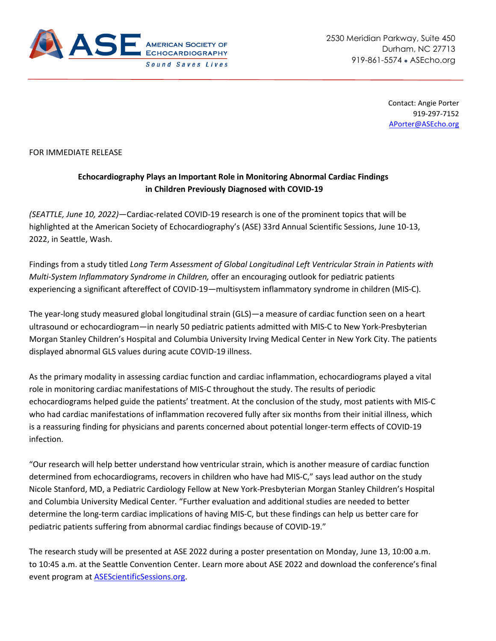

Contact: Angie Porter 919-297-7152 [APorter@ASEcho.org](mailto:APorter@ASEcho.org)

## FOR IMMEDIATE RELEASE

## **Echocardiography Plays an Important Role in Monitoring Abnormal Cardiac Findings in Children Previously Diagnosed with COVID-19**

*(SEATTLE, June 10, 2022)*—Cardiac-related COVID-19 research is one of the prominent topics that will be highlighted at the American Society of Echocardiography's (ASE) 33rd Annual Scientific Sessions, June 10-13, 2022, in Seattle, Wash.

Findings from a study titled *Long Term Assessment of Global Longitudinal Left Ventricular Strain in Patients with Multi-System Inflammatory Syndrome in Children,* offer an encouraging outlook for pediatric patients experiencing a significant aftereffect of COVID-19—multisystem inflammatory syndrome in children (MIS-C).

The year-long study measured global longitudinal strain (GLS)—a measure of cardiac function seen on a heart ultrasound or echocardiogram—in nearly 50 pediatric patients admitted with MIS-C to New York-Presbyterian Morgan Stanley Children's Hospital and Columbia University Irving Medical Center in New York City. The patients displayed abnormal GLS values during acute COVID-19 illness.

As the primary modality in assessing cardiac function and cardiac inflammation, echocardiograms played a vital role in monitoring cardiac manifestations of MIS-C throughout the study. The results of periodic echocardiograms helped guide the patients' treatment. At the conclusion of the study, most patients with MIS-C who had cardiac manifestations of inflammation recovered fully after six months from their initial illness, which is a reassuring finding for physicians and parents concerned about potential longer-term effects of COVID-19 infection.

"Our research will help better understand how ventricular strain, which is another measure of cardiac function determined from echocardiograms, recovers in children who have had MIS-C," says lead author on the study Nicole Stanford, MD, a Pediatric Cardiology Fellow at New York-Presbyterian Morgan Stanley Children's Hospital and Columbia University Medical Center*.* "Further evaluation and additional studies are needed to better determine the long-term cardiac implications of having MIS-C, but these findings can help us better care for pediatric patients suffering from abnormal cardiac findings because of COVID-19."

The research study will be presented at ASE 2022 during a poster presentation on Monday, June 13, 10:00 a.m. to 10:45 a.m. at the Seattle Convention Center. Learn more about ASE 2022 and download the conference's final event program at [ASEScientificSessions.org.](http://www.asescientificsessions.org/)